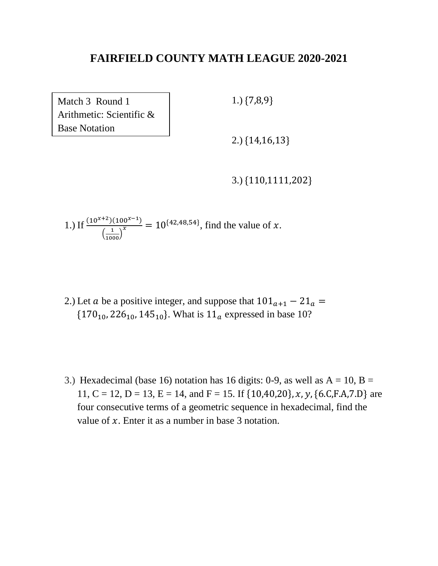Match 3 Round 1 Arithmetic: Scientific & Base Notation

1.) {7,8,9}

2.) {14,16,13}

3.) {110,1111,202}

1.) If  $\frac{(10^{x+2})(100^{x-1})}{(1-x^x)}$  $\left( \frac{1}{1000} \right)$  $\frac{10^{x} - 1}{x}$  = 10<sup>{42,48,54}</sup>, find the value of x.

- 2.) Let *a* be a positive integer, and suppose that  $101_{a+1} 21_a =$  ${170_{10}}$ , 226<sub>10</sub>, 145<sub>10</sub>. What is  ${11_a}$  expressed in base 10?
- 3.) Hexadecimal (base 16) notation has 16 digits: 0-9, as well as  $A = 10$ ,  $B =$ 11, C = 12, D = 13, E = 14, and F = 15. If  $\{10,40,20\}$ , x, y,  $\{6.C.F.A.7.D\}$  are four consecutive terms of a geometric sequence in hexadecimal, find the value of  $x$ . Enter it as a number in base 3 notation.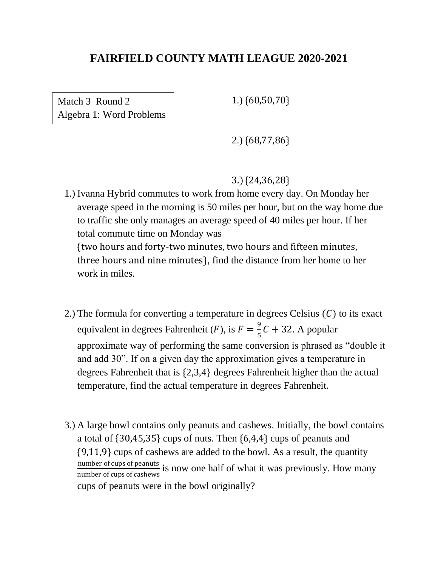Match 3 Round 2 Algebra 1: Word Problems 1.) {60,50,70}

2.) {68,77,86}

3.) {24,36,28}

1.) Ivanna Hybrid commutes to work from home every day. On Monday her average speed in the morning is 50 miles per hour, but on the way home due to traffic she only manages an average speed of 40 miles per hour. If her total commute time on Monday was

{two hours and forty-two minutes, two hours and fifteen minutes, three hours and nine minutes}, find the distance from her home to her work in miles.

- 2.) The formula for converting a temperature in degrees Celsius  $(C)$  to its exact equivalent in degrees Fahrenheit (*F*), is  $F = \frac{9}{5}$  $\frac{5}{5}C + 32$ . A popular approximate way of performing the same conversion is phrased as "double it and add 30". If on a given day the approximation gives a temperature in degrees Fahrenheit that is {2,3,4} degrees Fahrenheit higher than the actual temperature, find the actual temperature in degrees Fahrenheit.
- 3.) A large bowl contains only peanuts and cashews. Initially, the bowl contains a total of {30,45,35} cups of nuts. Then {6,4,4} cups of peanuts and {9,11,9} cups of cashews are added to the bowl. As a result, the quantity number of cups of peanuts is now one half of what it was previously. How many number of cups of cashews cups of peanuts were in the bowl originally?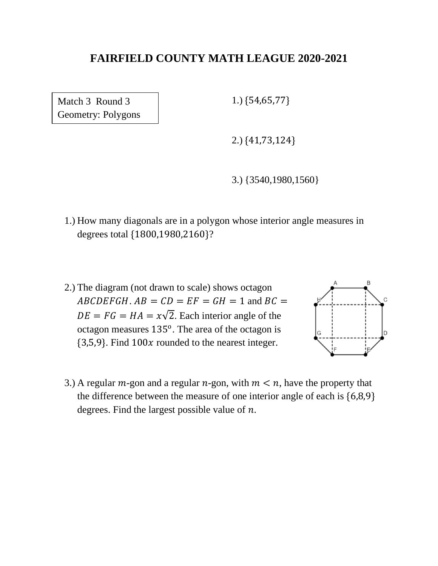Match 3 Round 3 Geometry: Polygons 1.) {54,65,77}

2.) {41,73,124}

3.) {3540,1980,1560}

- 1.) How many diagonals are in a polygon whose interior angle measures in degrees total {1800,1980,2160}?
- 2.) The diagram (not drawn to scale) shows octagon  $ABCDEFGH$ .  $AB = CD = EF = GH = 1$  and  $BC =$  $DE = FG = HA = x\sqrt{2}$ . Each interior angle of the octagon measures  $135^{\circ}$ . The area of the octagon is  ${3,5,9}$ . Find  $100x$  rounded to the nearest integer.



3.) A regular  $m$ -gon and a regular  $n$ -gon, with  $m < n$ , have the property that the difference between the measure of one interior angle of each is {6,8,9} degrees. Find the largest possible value of  $n$ .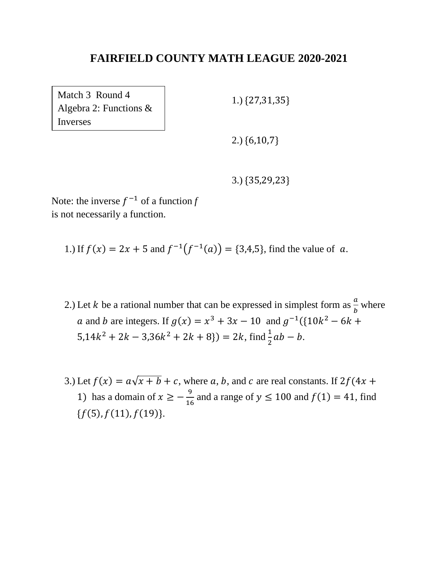Match 3 Round 4 Algebra 2: Functions & Inverses

1.) {27,31,35}

2.) {6,10,7}

3.) {35,29,23}

Note: the inverse  $f^{-1}$  of a function  $f$ is not necessarily a function.

1.) If  $f(x) = 2x + 5$  and  $f^{-1}(f^{-1}(a)) = \{3,4,5\}$ , find the value of a.

- 2.) Let *k* be a rational number that can be expressed in simplest form as  $\frac{a}{b}$  where a and b are integers. If  $g(x) = x^3 + 3x - 10$  and  $g^{-1}({10k^2 - 6k + }$  $5,14k^2 + 2k - 3,36k^2 + 2k + 8$   $) = 2k$ , find  $\frac{1}{2}ab - b$ .
- 3.) Let  $f(x) = a\sqrt{x + b} + c$ , where a, b, and c are real constants. If  $2f(4x +$ 1) has a domain of  $x \geq -\frac{9}{16}$  $\frac{9}{16}$  and a range of  $y \le 100$  and  $f(1) = 41$ , find  ${f(5), f(11), f(19)}$ .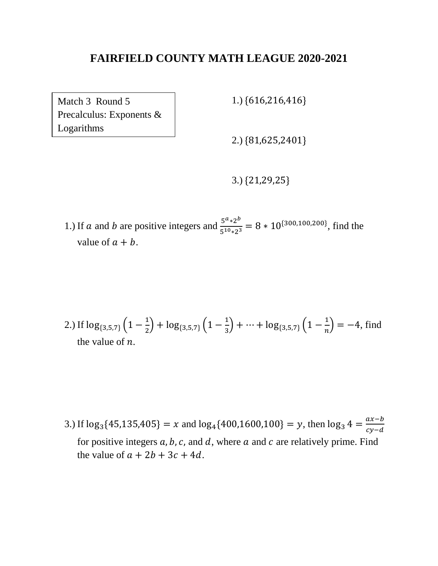Match 3 Round 5 Precalculus: Exponents & Logarithms

1.) {616,216,416}

2.) {81,625,2401}

3.) {21,29,25}

1.) If *a* and *b* are positive integers and  $\frac{5^{a} \times 2^{b}}{5^{10} \times 3^{25}}$  $rac{5^{10}*2^{10}}{5^{10}*2^3}$  = 8 \* 10<sup>{300,100,200}</sup>, find the value of  $a + b$ .

2.) If 
$$
\log_{\{3,5,7\}}\left(1-\frac{1}{2}\right) + \log_{\{3,5,7\}}\left(1-\frac{1}{3}\right) + \dots + \log_{\{3,5,7\}}\left(1-\frac{1}{n}\right) = -4
$$
, find the value of *n*.

3.) If  $\log_3{45,135,405} = x$  and  $\log_4{400,1600,100} = y$ , then  $\log_3{4} = \frac{ax-b}{cx-d}$  $cy-d$ for positive integers  $a, b, c$ , and  $d$ , where  $a$  and  $c$  are relatively prime. Find the value of  $a + 2b + 3c + 4d$ .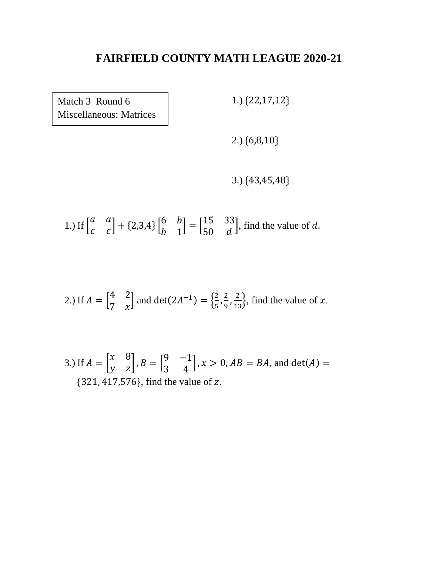Match 3 Round 6 Miscellaneous: Matrices 1.) {22,17,12}

2.) {6,8,10}

3.) {43,45,48}

 $1.)$  If  $\vert$ a a  $\begin{bmatrix} a & a \\ c & c \end{bmatrix} + \{2,3,4\} \begin{bmatrix} 6 & b \\ b & 1 \end{bmatrix}$ b 1  $=\begin{bmatrix} 15 & 33 \\ 50 & 3 \end{bmatrix}$ 50 d , find the value of  $d$ .

2.) If 
$$
A = \begin{bmatrix} 4 & 2 \\ 7 & x \end{bmatrix}
$$
 and  $det(2A^{-1}) = \begin{Bmatrix} \frac{2}{5}, \frac{2}{9}, \frac{2}{13} \end{Bmatrix}$ , find the value of x.

3.) If  $A = |$ x 8  $\begin{bmatrix} x & 8 \\ y & z \end{bmatrix}$ ,  $B = \begin{bmatrix} 9 & -1 \\ 3 & 4 \end{bmatrix}$ 3 4  $\bigcup_{i}$ ,  $x > 0$ ,  $AB = BA$ , and det $(A) =$  ${321, 417, 576}$ , find the value of z.